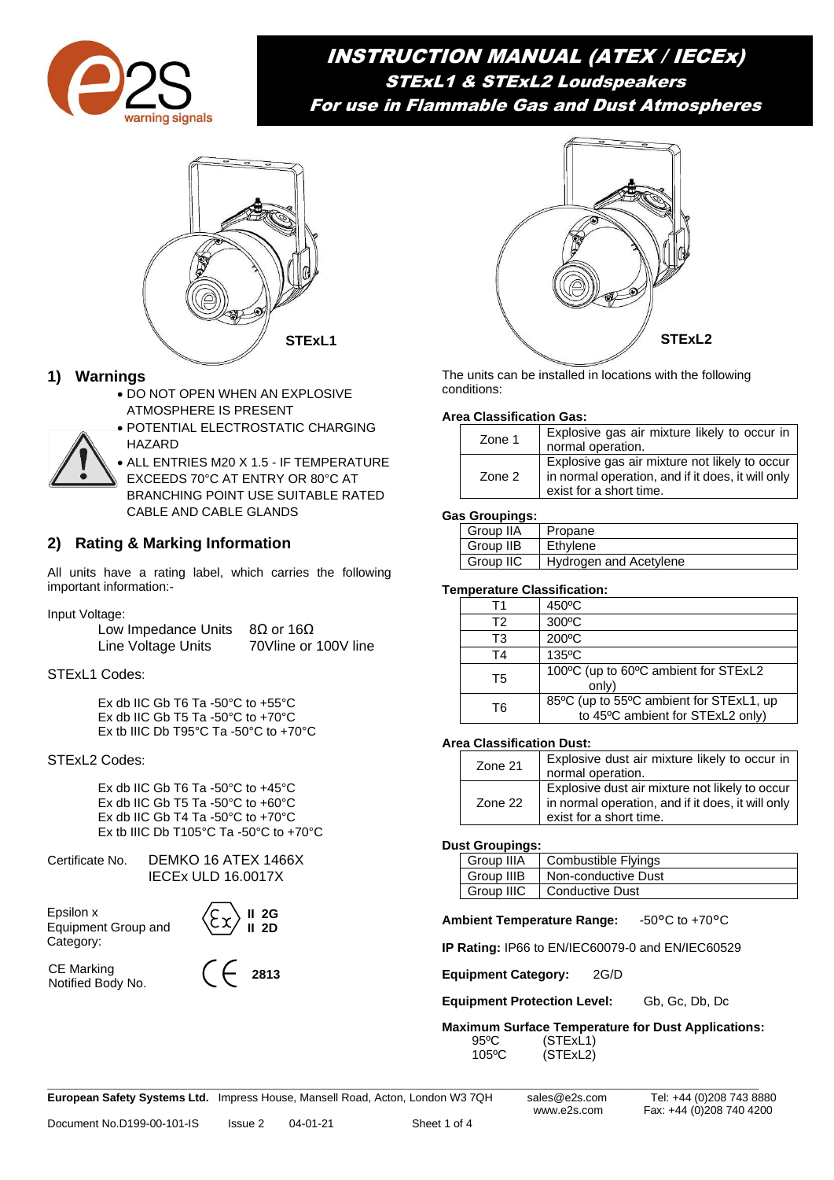

# INSTRUCTION MANUAL (ATEX / IECEx) STExL1 & STExL2 Loudspeakers For use in Flammable Gas and Dust Atmospheres



# **1) Warnings**

- DO NOT OPEN WHEN AN EXPLOSIVE ATMOSPHERE IS PRESENT
- POTENTIAL ELECTROSTATIC CHARGING HAZARD
- ALL ENTRIES M20 X 1.5 IF TEMPERATURE EXCEEDS 70°C AT ENTRY OR 80°C AT BRANCHING POINT USE SUITABLE RATED CABLE AND CABLE GLANDS

# **2) Rating & Marking Information**

All units have a rating label, which carries the following important information:-

Input Voltage:

| Low Impedance Units | $8\Omega$ or 16Ω     |
|---------------------|----------------------|
| Line Voltage Units  | 70Vline or 100V line |

STExL1 Codes:

Ex db IIC Gb T6 Ta -50°C to +55°C Ex db IIC Gb T5 Ta -50°C to +70°C Ex tb IIIC Db T95°C Ta -50°C to +70°C

### STExL2 Codes:

Ex db IIC Gb T6 Ta -50°C to +45°C Ex db IIC Gb T5 Ta -50°C to +60°C Ex db IIC Gb T4 Ta -50°C to +70°C Ex tb IIIC Db T105°C Ta -50°C to +70°C

Certificate No. DEMKO 16 ATEX 1466X IECEx ULD 16.0017X

Epsilon x Equipment Group and Category:

CE Marking Notified Body No.



**2813**



The units can be installed in locations with the following conditions:

#### **Area Classification Gas:**

| Zone 1 | Explosive gas air mixture likely to occur in<br>normal operation.                                                             |
|--------|-------------------------------------------------------------------------------------------------------------------------------|
| Zone 2 | Explosive gas air mixture not likely to occur<br>In normal operation, and if it does, it will only<br>exist for a short time. |

#### **Gas Groupings:**

| Group IIA | Propane                |
|-----------|------------------------|
| Group IIB | Ethylene               |
| Group IIC | Hydrogen and Acetylene |

#### **Temperature Classification:**

| Τ1 | 450°C                                                                       |
|----|-----------------------------------------------------------------------------|
| T2 | $300^{\circ}$ C                                                             |
| T3 | 200°C                                                                       |
| T4 | $135^{\circ}$ C                                                             |
| Т5 | 100°C (up to 60°C ambient for STExL2<br>only)                               |
| T6 | 85°C (up to 55°C ambient for STExL1, up<br>to 45°C ambient for STExL2 only) |

#### **Area Classification Dust:**

| Zone 21 | Explosive dust air mixture likely to occur in  <br>normal operation.                                                           |
|---------|--------------------------------------------------------------------------------------------------------------------------------|
| Zone 22 | Explosive dust air mixture not likely to occur<br>in normal operation, and if it does, it will only<br>exist for a short time. |

#### **Dust Groupings:**

| Group IIIA | <b>Combustible Flyings</b> |
|------------|----------------------------|
| Group IIIB | Non-conductive Dust        |
| Group IIIC | <b>Conductive Dust</b>     |

**Ambient Temperature Range:** -50°C to +70°C

**IP Rating:** IP66 to EN/IEC60079-0 and EN/IEC60529

**Equipment Category:** 2G/D

**Equipment Protection Level:** Gb, Gc, Db, Dc

**Maximum Surface Temperature for Dust Applications:** 95°C (STExL1)<br>105°C (STExL2) (STExL2)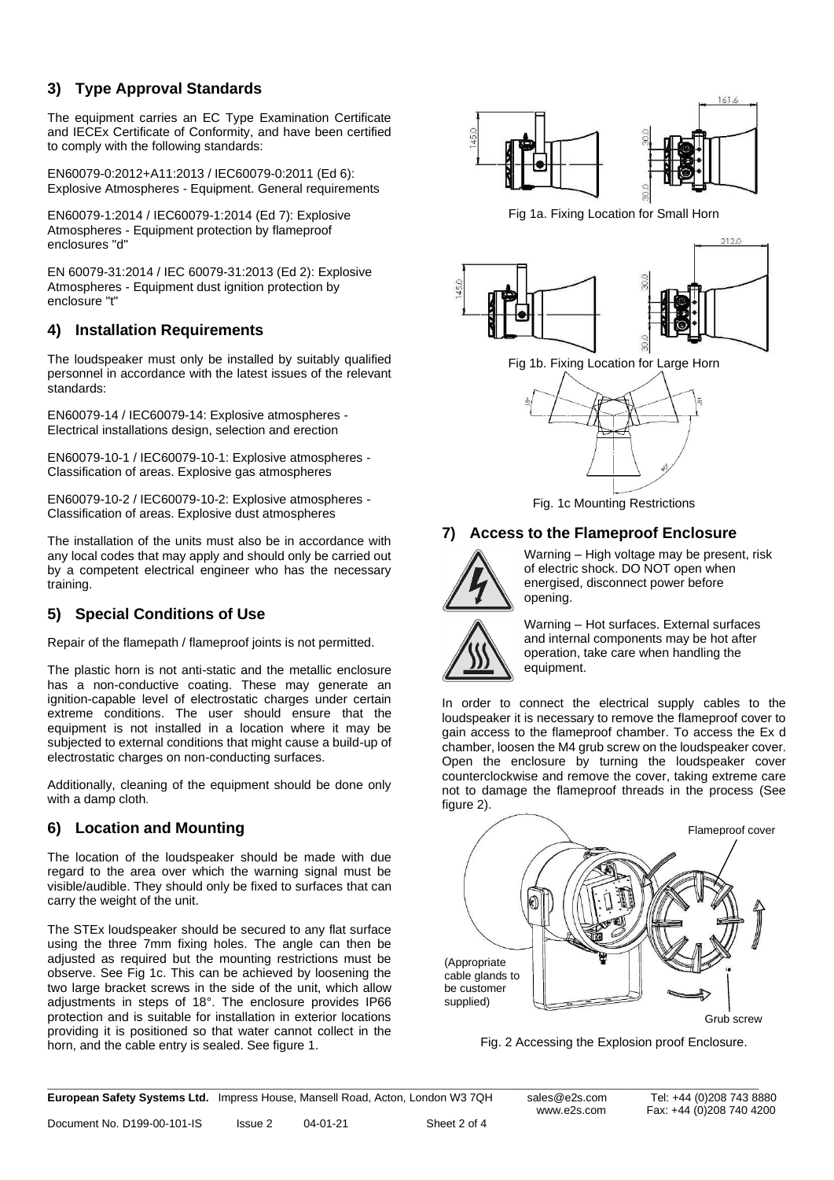# **3) Type Approval Standards**

The equipment carries an EC Type Examination Certificate and IECEx Certificate of Conformity, and have been certified to comply with the following standards:

EN60079-0:2012+A11:2013 / IEC60079-0:2011 (Ed 6): Explosive Atmospheres - Equipment. General requirements

EN60079-1:2014 / IEC60079-1:2014 (Ed 7): Explosive Atmospheres - Equipment protection by flameproof enclosures "d"

EN 60079-31:2014 / IEC 60079-31:2013 (Ed 2): Explosive Atmospheres - Equipment dust ignition protection by enclosure "t"

### **4) Installation Requirements**

The loudspeaker must only be installed by suitably qualified personnel in accordance with the latest issues of the relevant standards:

EN60079-14 / IEC60079-14: Explosive atmospheres - Electrical installations design, selection and erection

EN60079-10-1 / IEC60079-10-1: [Explosive atmospheres -](http://shop.bsigroup.com/en/ProductDetail/?pid=000000000030153067) [Classification of areas. Explosive gas atmospheres](http://shop.bsigroup.com/en/ProductDetail/?pid=000000000030153067)

EN60079-10-2 / IEC60079-10-2: [Explosive atmospheres -](http://shop.bsigroup.com/en/ProductDetail/?pid=000000000030153067) [Classification of areas. Explosive dust atmospheres](http://shop.bsigroup.com/en/ProductDetail/?pid=000000000030153067)

The installation of the units must also be in accordance with any local codes that may apply and should only be carried out by a competent electrical engineer who has the necessary training.

# **5) Special Conditions of Use**

Repair of the flamepath / flameproof joints is not permitted.

The plastic horn is not anti-static and the metallic enclosure has a non-conductive coating. These may generate an ignition-capable level of electrostatic charges under certain extreme conditions. The user should ensure that the equipment is not installed in a location where it may be subjected to external conditions that might cause a build-up of electrostatic charges on non-conducting surfaces.

Additionally, cleaning of the equipment should be done only with a damp cloth.

### **6) Location and Mounting**

The location of the loudspeaker should be made with due regard to the area over which the warning signal must be visible/audible. They should only be fixed to surfaces that can carry the weight of the unit.

The STEx loudspeaker should be secured to any flat surface using the three 7mm fixing holes. The angle can then be adjusted as required but the mounting restrictions must be observe. See Fig 1c. This can be achieved by loosening the two large bracket screws in the side of the unit, which allow adjustments in steps of 18°. The enclosure provides IP66 protection and is suitable for installation in exterior locations providing it is positioned so that water cannot collect in the horn, and the cable entry is sealed. See figure 1.



Fig 1a. Fixing Location for Small Horn







Fig. 1c Mounting Restrictions

### **7) Access to the Flameproof Enclosure**



Warning – High voltage may be present, risk of electric shock. DO NOT open when energised, disconnect power before opening.



Warning – Hot surfaces. External surfaces and internal components may be hot after operation, take care when handling the equipment.

In order to connect the electrical supply cables to the loudspeaker it is necessary to remove the flameproof cover to gain access to the flameproof chamber. To access the Ex d chamber, loosen the M4 grub screw on the loudspeaker cover. Open the enclosure by turning the loudspeaker cover counterclockwise and remove the cover, taking extreme care not to damage the flameproof threads in the process (See figure 2).



Fig. 2 Accessing the Explosion proof Enclosure.

\_\_\_\_\_\_\_\_\_\_\_\_\_\_\_\_\_\_\_\_\_\_\_\_\_\_\_\_\_\_\_\_\_\_\_\_\_\_\_\_\_\_\_\_\_\_\_\_\_\_\_\_\_\_\_\_\_\_\_\_\_\_\_\_\_\_\_\_\_\_\_\_\_\_\_\_\_\_\_\_\_\_\_\_\_\_\_\_\_\_\_\_\_\_\_\_\_\_\_\_\_\_\_\_\_\_\_\_\_\_\_\_\_\_\_\_\_\_\_\_\_\_\_\_\_\_\_ **European Safety Systems Ltd.** Impress House, Mansell Road, Acton, London W3 7QH sales@e2s.com Tel: +44 (0)208 743 8880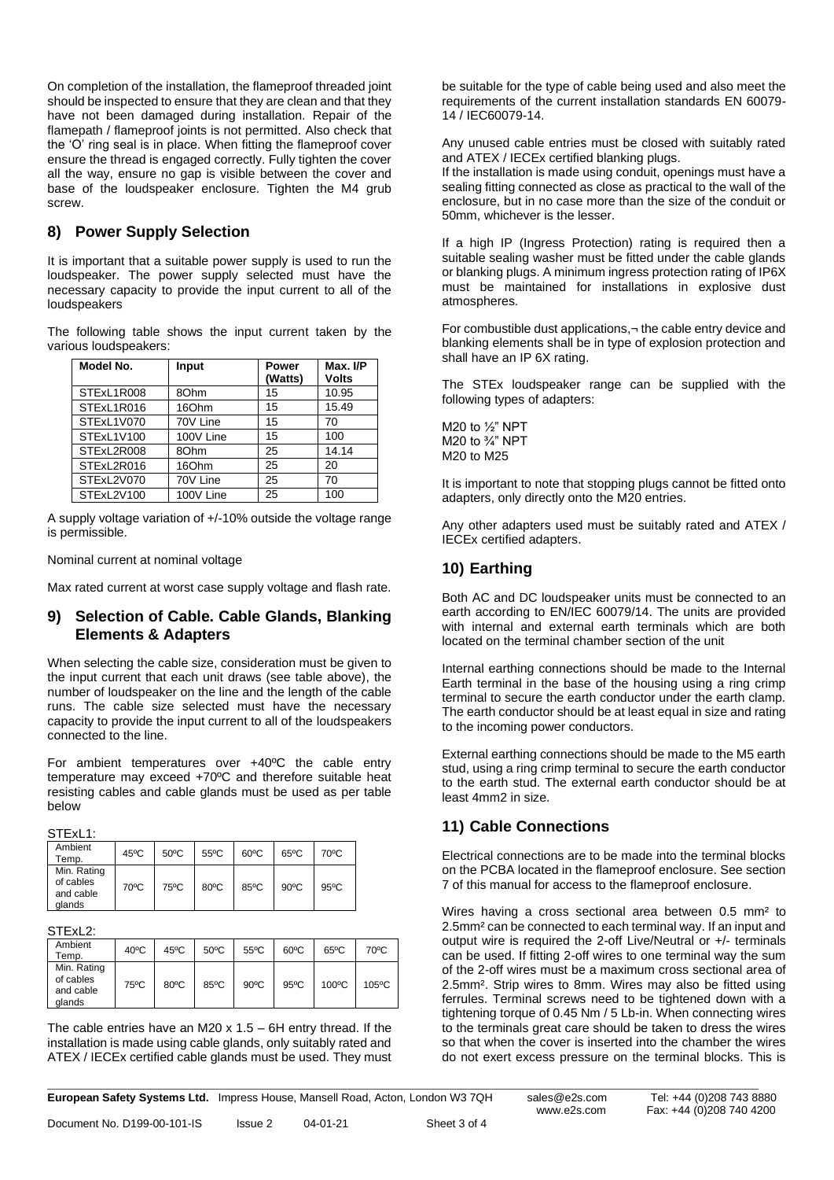On completion of the installation, the flameproof threaded joint should be inspected to ensure that they are clean and that they have not been damaged during installation. Repair of the flamepath / flameproof joints is not permitted. Also check that the 'O' ring seal is in place. When fitting the flameproof cover ensure the thread is engaged correctly. Fully tighten the cover all the way, ensure no gap is visible between the cover and base of the loudspeaker enclosure. Tighten the M4 grub screw.

# **8) Power Supply Selection**

It is important that a suitable power supply is used to run the loudspeaker. The power supply selected must have the necessary capacity to provide the input current to all of the loudspeakers

The following table shows the input current taken by the various loudspeakers:

| Model No.  | Input     | Power<br>(Watts) | Max. I/P<br><b>Volts</b> |
|------------|-----------|------------------|--------------------------|
| STExL1R008 | 80hm      | 15               | 10.95                    |
| STExL1R016 | 16Ohm     | 15               | 15.49                    |
| STExL1V070 | 70V Line  | 15               | 70                       |
| STExL1V100 | 100V Line | 15               | 100                      |
| STExL2R008 | 80hm      | 25               | 14.14                    |
| STExL2R016 | 16Ohm     | 25               | 20                       |
| STExL2V070 | 70V Line  | 25               | 70                       |
| STExL2V100 | 100V Line | 25               | 100                      |

A supply voltage variation of +/-10% outside the voltage range is permissible.

Nominal current at nominal voltage

Max rated current at worst case supply voltage and flash rate.

### **9) Selection of Cable. Cable Glands, Blanking Elements & Adapters**

When selecting the cable size, consideration must be given to the input current that each unit draws (see table above), the number of loudspeaker on the line and the length of the cable runs. The cable size selected must have the necessary capacity to provide the input current to all of the loudspeakers connected to the line.

For ambient temperatures over +40ºC the cable entry temperature may exceed +70ºC and therefore suitable heat resisting cables and cable glands must be used as per table below

STExL1<sup>.</sup>

| Ambient<br>Temp.                                | $45^{\circ}$ C | $50^{\circ}$ C | $55^{\circ}$ C | $60^{\circ}$ C | $65^{\circ}$ C | 70°C           |
|-------------------------------------------------|----------------|----------------|----------------|----------------|----------------|----------------|
| Min. Rating<br>of cables<br>and cable<br>glands | 70°C           | 75°C           | $80^{\circ}$ C | 85°C           | $90^{\circ}$ C | $95^{\circ}$ C |

#### STExL<sub>2</sub>:

| Ambient<br>Temp.                                | $40^{\circ}$ C | $45^{\circ}$ C | $50^{\circ}$ C | $55^{\circ}$ C | $60^{\circ}$ C | $65^{\circ}$ C  | $70^{\circ}$ C  |
|-------------------------------------------------|----------------|----------------|----------------|----------------|----------------|-----------------|-----------------|
| Min. Rating<br>of cables<br>and cable<br>glands | 75°C           | $80^{\circ}$ C | 85°C           | $90^{\circ}$ C | $95^{\circ}$ C | $100^{\circ}$ C | $105^{\circ}$ C |

The cable entries have an M20  $\times$  1.5 – 6H entry thread. If the installation is made using cable glands, only suitably rated and ATEX / IECEx certified cable glands must be used. They must be suitable for the type of cable being used and also meet the requirements of the current installation standards EN 60079- 14 / IEC60079-14.

Any unused cable entries must be closed with suitably rated and ATEX / IECEx certified blanking plugs.

If the installation is made using conduit, openings must have a sealing fitting connected as close as practical to the wall of the enclosure, but in no case more than the size of the conduit or 50mm, whichever is the lesser.

If a high IP (Ingress Protection) rating is required then a suitable sealing washer must be fitted under the cable glands or blanking plugs. A minimum ingress protection rating of IP6X must be maintained for installations in explosive dust atmospheres.

For combustible dust applications,¬ the cable entry device and blanking elements shall be in type of explosion protection and shall have an IP 6X rating.

The STEx loudspeaker range can be supplied with the following types of adapters:

M20 to ½" NPT M20 to ¾" NPT M20 to M25

It is important to note that stopping plugs cannot be fitted onto adapters, only directly onto the M20 entries.

Any other adapters used must be suitably rated and ATEX / IECEx certified adapters.

# **10) Earthing**

Both AC and DC loudspeaker units must be connected to an earth according to EN/IEC 60079/14. The units are provided with internal and external earth terminals which are both located on the terminal chamber section of the unit

Internal earthing connections should be made to the Internal Earth terminal in the base of the housing using a ring crimp terminal to secure the earth conductor under the earth clamp. The earth conductor should be at least equal in size and rating to the incoming power conductors.

External earthing connections should be made to the M5 earth stud, using a ring crimp terminal to secure the earth conductor to the earth stud. The external earth conductor should be at least 4mm2 in size.

# **11) Cable Connections**

Electrical connections are to be made into the terminal blocks on the PCBA located in the flameproof enclosure. See section 7 of this manual for access to the flameproof enclosure.

Wires having a cross sectional area between 0.5 mm² to 2.5mm² can be connected to each terminal way. If an input and output wire is required the 2-off Live/Neutral or +/- terminals can be used. If fitting 2-off wires to one terminal way the sum of the 2-off wires must be a maximum cross sectional area of 2.5mm². Strip wires to 8mm. Wires may also be fitted using ferrules. Terminal screws need to be tightened down with a tightening torque of 0.45 Nm / 5 Lb-in. When connecting wires to the terminals great care should be taken to dress the wires so that when the cover is inserted into the chamber the wires do not exert excess pressure on the terminal blocks. This is

\_\_\_\_\_\_\_\_\_\_\_\_\_\_\_\_\_\_\_\_\_\_\_\_\_\_\_\_\_\_\_\_\_\_\_\_\_\_\_\_\_\_\_\_\_\_\_\_\_\_\_\_\_\_\_\_\_\_\_\_\_\_\_\_\_\_\_\_\_\_\_\_\_\_\_\_\_\_\_\_\_\_\_\_\_\_\_\_\_\_\_\_\_\_\_\_\_\_\_\_\_\_\_\_\_\_\_\_\_\_\_\_\_\_\_\_\_\_\_\_\_\_\_\_\_\_\_ **European Safety Systems Ltd.** Impress House, Mansell Road, Acton, London W3 7QH sales@e2s.com Tel: +44 (0)208 743 8880

Document No. D199-00-101-IS Issue 2 04-01-21 Sheet 3 of 4